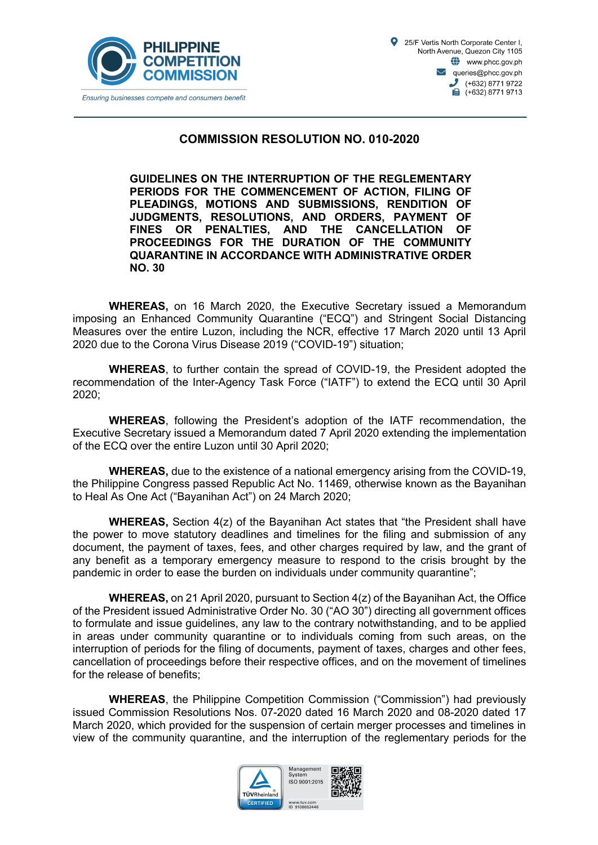



## **COMMISSION RESOLUTION NO. 010-2020**

**GUIDELINES ON THE INTERRUPTION OF THE REGLEMENTARY PERIODS FOR THE COMMENCEMENT OF ACTION, FILING OF PLEADINGS, MOTIONS AND SUBMISSIONS, RENDITION OF JUDGMENTS, RESOLUTIONS, AND ORDERS, PAYMENT OF FINES OR PENALTIES, AND THE CANCELLATION OF PROCEEDINGS FOR THE DURATION OF THE COMMUNITY QUARANTINE IN ACCORDANCE WITH ADMINISTRATIVE ORDER NO. 30**

**WHEREAS,** on 16 March 2020, the Executive Secretary issued a Memorandum imposing an Enhanced Community Quarantine ("ECQ") and Stringent Social Distancing Measures over the entire Luzon, including the NCR, effective 17 March 2020 until 13 April 2020 due to the Corona Virus Disease 2019 ("COVID-19") situation;

**WHEREAS**, to further contain the spread of COVID-19, the President adopted the recommendation of the Inter-Agency Task Force ("IATF") to extend the ECQ until 30 April 2020;

**WHEREAS**, following the President's adoption of the IATF recommendation, the Executive Secretary issued a Memorandum dated 7 April 2020 extending the implementation of the ECQ over the entire Luzon until 30 April 2020;

**WHEREAS,** due to the existence of a national emergency arising from the COVID-19, the Philippine Congress passed Republic Act No. 11469, otherwise known as the Bayanihan to Heal As One Act ("Bayanihan Act") on 24 March 2020;

**WHEREAS,** Section 4(z) of the Bayanihan Act states that "the President shall have the power to move statutory deadlines and timelines for the filing and submission of any document, the payment of taxes, fees, and other charges required by law, and the grant of any benefit as a temporary emergency measure to respond to the crisis brought by the pandemic in order to ease the burden on individuals under community quarantine";

**WHEREAS,** on 21 April 2020, pursuant to Section 4(z) of the Bayanihan Act, the Office of the President issued Administrative Order No. 30 ("AO 30") directing all government offices to formulate and issue guidelines, any law to the contrary notwithstanding, and to be applied in areas under community quarantine or to individuals coming from such areas, on the interruption of periods for the filing of documents, payment of taxes, charges and other fees, cancellation of proceedings before their respective offices, and on the movement of timelines for the release of benefits;

**WHEREAS**, the Philippine Competition Commission ("Commission") had previously issued Commission Resolutions Nos. 07-2020 dated 16 March 2020 and 08-2020 dated 17 March 2020, which provided for the suspension of certain merger processes and timelines in view of the community quarantine, and the interruption of the reglementary periods for the



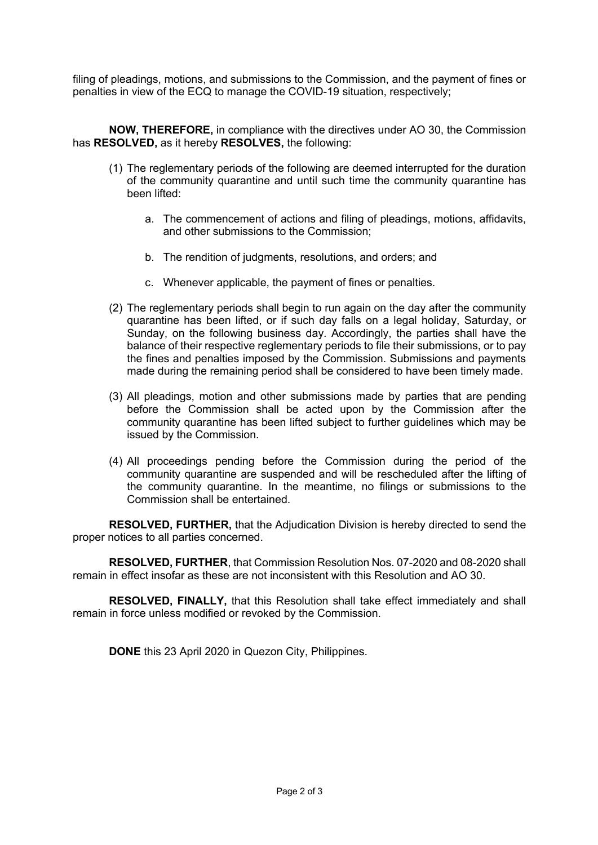filing of pleadings, motions, and submissions to the Commission, and the payment of fines or penalties in view of the ECQ to manage the COVID-19 situation, respectively;

**NOW, THEREFORE,** in compliance with the directives under AO 30, the Commission has **RESOLVED,** as it hereby **RESOLVES,** the following:

- (1) The reglementary periods of the following are deemed interrupted for the duration of the community quarantine and until such time the community quarantine has been lifted:
	- a. The commencement of actions and filing of pleadings, motions, affidavits, and other submissions to the Commission;
	- b. The rendition of judgments, resolutions, and orders; and
	- c. Whenever applicable, the payment of fines or penalties.
- (2) The reglementary periods shall begin to run again on the day after the community quarantine has been lifted, or if such day falls on a legal holiday, Saturday, or Sunday, on the following business day. Accordingly, the parties shall have the balance of their respective reglementary periods to file their submissions, or to pay the fines and penalties imposed by the Commission. Submissions and payments made during the remaining period shall be considered to have been timely made.
- (3) All pleadings, motion and other submissions made by parties that are pending before the Commission shall be acted upon by the Commission after the community quarantine has been lifted subject to further guidelines which may be issued by the Commission.
- (4) All proceedings pending before the Commission during the period of the community quarantine are suspended and will be rescheduled after the lifting of the community quarantine. In the meantime, no filings or submissions to the Commission shall be entertained.

**RESOLVED, FURTHER,** that the Adjudication Division is hereby directed to send the proper notices to all parties concerned.

**RESOLVED, FURTHER**, that Commission Resolution Nos. 07-2020 and 08-2020 shall remain in effect insofar as these are not inconsistent with this Resolution and AO 30.

**RESOLVED, FINALLY,** that this Resolution shall take effect immediately and shall remain in force unless modified or revoked by the Commission.

**DONE** this 23 April 2020 in Quezon City, Philippines.